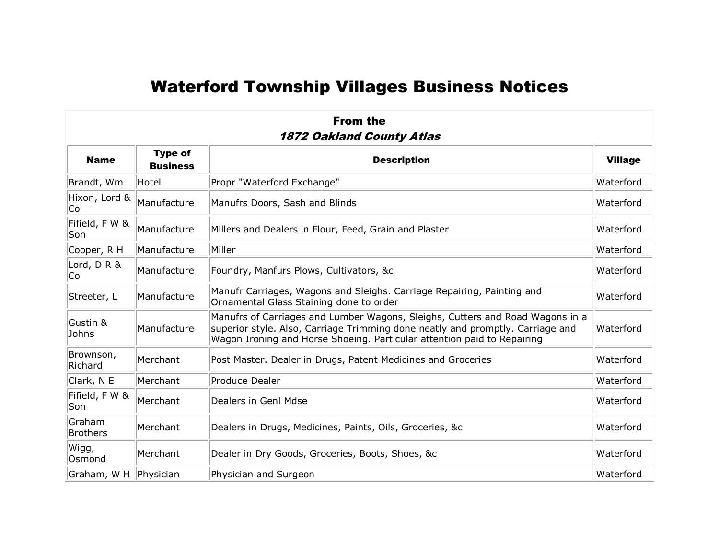## Waterford Township Villages Business Notices

| <b>From the</b><br><b>1872 Oakland County Atlas</b> |                                   |                                                                                                                                                                                                                                            |                |  |
|-----------------------------------------------------|-----------------------------------|--------------------------------------------------------------------------------------------------------------------------------------------------------------------------------------------------------------------------------------------|----------------|--|
| <b>Name</b>                                         | <b>Type of</b><br><b>Business</b> | <b>Description</b>                                                                                                                                                                                                                         | <b>Village</b> |  |
| Brandt, Wm                                          | Hotel                             | Propr "Waterford Exchange"                                                                                                                                                                                                                 | Waterford      |  |
| Hixon, Lord &<br>Cо                                 | Manufacture                       | Manufrs Doors, Sash and Blinds                                                                                                                                                                                                             | Waterford      |  |
| Fifield, F W &<br>Son                               | Manufacture                       | Millers and Dealers in Flour, Feed, Grain and Plaster                                                                                                                                                                                      | Waterford      |  |
| Cooper, R H                                         | Manufacture                       | Miller                                                                                                                                                                                                                                     | Waterford      |  |
| Lord, DR&<br>Co                                     | Manufacture                       | Foundry, Manfurs Plows, Cultivators, &c                                                                                                                                                                                                    | Waterford      |  |
| Streeter, L                                         | Manufacture                       | Manufr Carriages, Wagons and Sleighs. Carriage Repairing, Painting and<br>Ornamental Glass Staining done to order                                                                                                                          | Waterford      |  |
| Gustin &<br>Johns                                   | Manufacture                       | Manufrs of Carriages and Lumber Wagons, Sleighs, Cutters and Road Wagons in a<br>superior style. Also, Carriage Trimming done neatly and promptly. Carriage and<br>Wagon Ironing and Horse Shoeing. Particular attention paid to Repairing | Waterford      |  |
| Brownson,<br>Richard                                | Merchant                          | Post Master. Dealer in Drugs, Patent Medicines and Groceries                                                                                                                                                                               | Waterford      |  |
| Clark, N E                                          | Merchant                          | Produce Dealer                                                                                                                                                                                                                             | Waterford      |  |
| Fifield, F W &<br>Son                               | Merchant                          | Dealers in Genl Mdse                                                                                                                                                                                                                       | Waterford      |  |
| Graham<br><b>Brothers</b>                           | Merchant                          | Dealers in Drugs, Medicines, Paints, Oils, Groceries, &c                                                                                                                                                                                   | Waterford      |  |
| Wigg,<br>Osmond                                     | Merchant                          | Dealer in Dry Goods, Groceries, Boots, Shoes, &c                                                                                                                                                                                           | Waterford      |  |
| Graham, W H                                         | Physician                         | Physician and Surgeon                                                                                                                                                                                                                      | Waterford      |  |